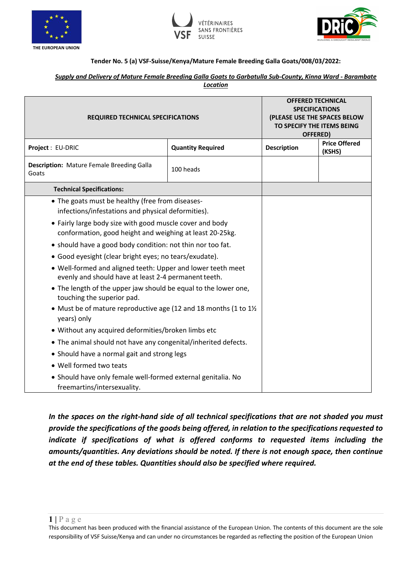





### **Tender No. 5 (a) VSF-Suisse/Kenya/Mature Female Breeding Galla Goats/008/03/2022:**

#### *Supply and Delivery of Mature Female Breeding Galla Goats to Garbatulla Sub-County, Kinna Ward - Barambate Location*

| <b>REQUIRED TECHNICAL SPECIFICATIONS</b>                                                                             |                          | <b>OFFERED TECHNICAL</b><br><b>SPECIFICATIONS</b><br>(PLEASE USE THE SPACES BELOW<br>TO SPECIFY THE ITEMS BEING<br>OFFERED) |                                |
|----------------------------------------------------------------------------------------------------------------------|--------------------------|-----------------------------------------------------------------------------------------------------------------------------|--------------------------------|
| <b>Project: EU-DRIC</b>                                                                                              | <b>Quantity Required</b> | <b>Description</b>                                                                                                          | <b>Price Offered</b><br>(KSHS) |
| <b>Description:</b> Mature Female Breeding Galla<br>Goats                                                            | 100 heads                |                                                                                                                             |                                |
| <b>Technical Specifications:</b>                                                                                     |                          |                                                                                                                             |                                |
| • The goats must be healthy (free from diseases-<br>infections/infestations and physical deformities).               |                          |                                                                                                                             |                                |
| • Fairly large body size with good muscle cover and body<br>conformation, good height and weighing at least 20-25kg. |                          |                                                                                                                             |                                |
| • should have a good body condition: not thin nor too fat.                                                           |                          |                                                                                                                             |                                |
| • Good eyesight (clear bright eyes; no tears/exudate).                                                               |                          |                                                                                                                             |                                |
| . Well-formed and aligned teeth: Upper and lower teeth meet<br>evenly and should have at least 2-4 permanent teeth.  |                          |                                                                                                                             |                                |
| • The length of the upper jaw should be equal to the lower one,<br>touching the superior pad.                        |                          |                                                                                                                             |                                |
| • Must be of mature reproductive age (12 and 18 months (1 to $1\frac{1}{2}$ )<br>years) only                         |                          |                                                                                                                             |                                |
| • Without any acquired deformities/broken limbs etc                                                                  |                          |                                                                                                                             |                                |
| • The animal should not have any congenital/inherited defects.                                                       |                          |                                                                                                                             |                                |
| • Should have a normal gait and strong legs                                                                          |                          |                                                                                                                             |                                |
| • Well formed two teats                                                                                              |                          |                                                                                                                             |                                |
| • Should have only female well-formed external genitalia. No<br>freemartins/intersexuality.                          |                          |                                                                                                                             |                                |

*In the spaces on the right-hand side of all technical specifications that are not shaded you must provide the specifications of the goods being offered, in relation to the specifications requested to indicate if specifications of what is offered conforms to requested items including the amounts/quantities. Any deviations should be noted. If there is not enough space, then continue at the end of these tables. Quantities should also be specified where required.*

This document has been produced with the financial assistance of the European Union. The contents of this document are the sole responsibility of VSF Suisse/Kenya and can under no circumstances be regarded as reflecting the position of the European Union